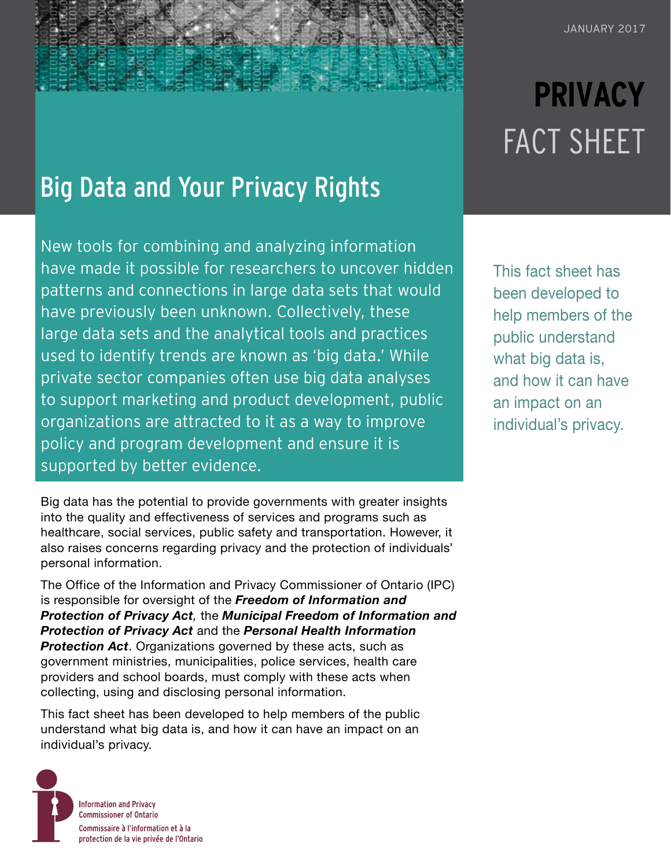## Big Data and Your Privacy Rights

New tools for combining and analyzing information have made it possible for researchers to uncover hidden patterns and connections in large data sets that would have previously been unknown. Collectively, these large data sets and the analytical tools and practices used to identify trends are known as 'big data.' While private sector companies often use big data analyses to support marketing and product development, public organizations are attracted to it as a way to improve policy and program development and ensure it is supported by better evidence.

Big data has the potential to provide governments with greater insights into the quality and effectiveness of services and programs such as healthcare, social services, public safety and transportation. However, it also raises concerns regarding privacy and the protection of individuals' personal information.

The [Office of the Information and Privacy Commissioner of Ontario](https://www.ipc.on.ca/) (IPC) is responsible for oversight of the *[Freedom of Information and](https://www.ontario.ca/laws/statute/90f31)  [Protection of Privacy Act](https://www.ontario.ca/laws/statute/90f31),* the *[Municipal Freedom of Information and](https://www.ontario.ca/laws/statute/90m56)  [Protection of Privacy Act](https://www.ontario.ca/laws/statute/90m56)* and the *[Personal Health Information](https://www.ontario.ca/laws/statute/04p03)  [Protection Act](https://www.ontario.ca/laws/statute/04p03)*. Organizations governed by these acts, such as government ministries, municipalities, police services, health care providers and school boards, must comply with these acts when collecting, using and disclosing personal information.

This fact sheet has been developed to help members of the public understand what big data is, and how it can have an impact on an individual's privacy.



# **PRIVACY** FACT SHEET

This fact sheet has been developed to help members of the public understand what big data is, and how it can have an impact on an individual's privacy.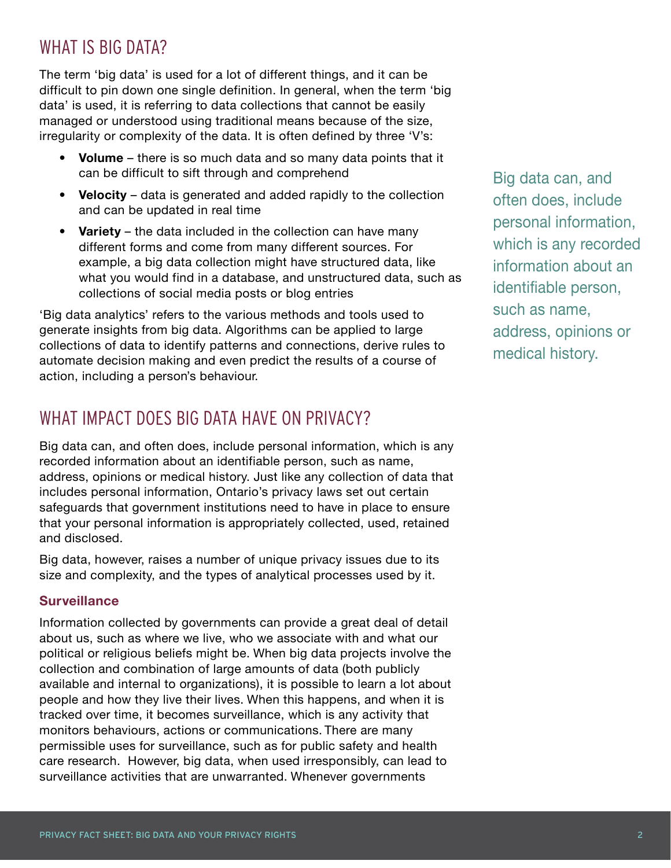## WHAT IS BIG DATA?

The term 'big data' is used for a lot of different things, and it can be difficult to pin down one single definition. In general, when the term 'big data' is used, it is referring to data collections that cannot be easily managed or understood using traditional means because of the size, irregularity or complexity of the data. It is often defined by three 'V's:

- **Volume** there is so much data and so many data points that it can be difficult to sift through and comprehend
- **Velocity** data is generated and added rapidly to the collection and can be updated in real time
- **Variety**  the data included in the collection can have many different forms and come from many different sources. For example, a big data collection might have structured data, like what you would find in a database, and unstructured data, such as collections of social media posts or blog entries

'Big data analytics' refers to the various methods and tools used to generate insights from big data. Algorithms can be applied to large collections of data to identify patterns and connections, derive rules to automate decision making and even predict the results of a course of action, including a person's behaviour.

## WHAT IMPACT DOES BIG DATA HAVE ON PRIVACY?

Big data can, and often does, include personal information, which is any recorded information about an identifiable person, such as name, address, opinions or medical history. Just like any collection of data that includes personal information, Ontario's privacy laws set out certain safeguards that government institutions need to have in place to ensure that your personal information is appropriately collected, used, retained and disclosed.

Big data, however, raises a number of unique privacy issues due to its size and complexity, and the types of analytical processes used by it.

#### **Surveillance**

Information collected by governments can provide a great deal of detail about us, such as where we live, who we associate with and what our political or religious beliefs might be. When big data projects involve the collection and combination of large amounts of data (both publicly available and internal to organizations), it is possible to learn a lot about people and how they live their lives. When this happens, and when it is tracked over time, it becomes surveillance, which is any activity that monitors behaviours, actions or communications. There are many permissible uses for surveillance, such as for public safety and health care research. However, big data, when used irresponsibly, can lead to surveillance activities that are unwarranted. Whenever governments

Big data can, and often does, include personal information, which is any recorded information about an identifiable person, such as name, address, opinions or medical history.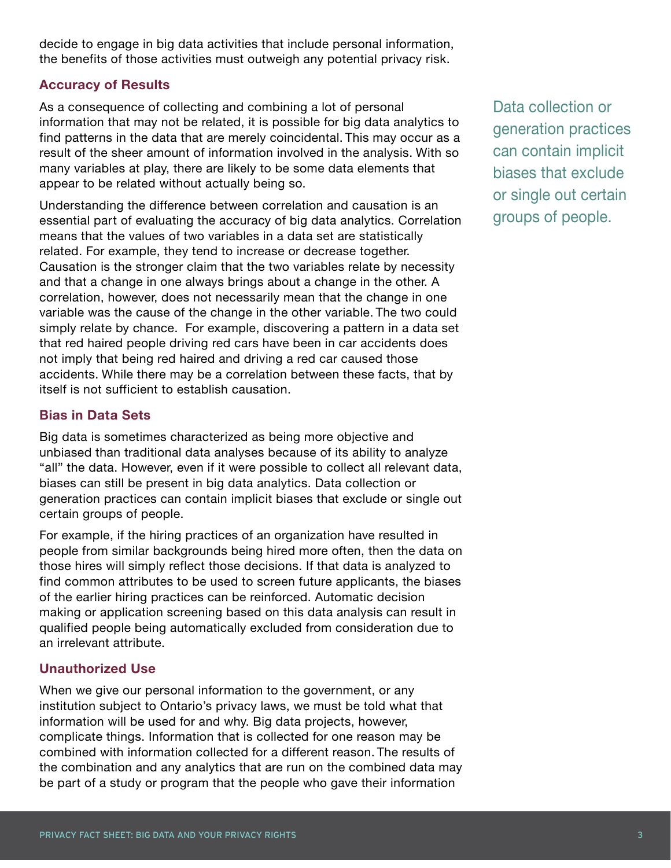decide to engage in big data activities that include personal information, the benefits of those activities must outweigh any potential privacy risk.

#### **Accuracy of Results**

As a consequence of collecting and combining a lot of personal information that may not be related, it is possible for big data analytics to find patterns in the data that are merely coincidental. This may occur as a result of the sheer amount of information involved in the analysis. With so many variables at play, there are likely to be some data elements that appear to be related without actually being so.

Understanding the difference between correlation and causation is an essential part of evaluating the accuracy of big data analytics. Correlation means that the values of two variables in a data set are statistically related. For example, they tend to increase or decrease together. Causation is the stronger claim that the two variables relate by necessity and that a change in one always brings about a change in the other. A correlation, however, does not necessarily mean that the change in one variable was the cause of the change in the other variable. The two could simply relate by chance. For example, discovering a pattern in a data set that red haired people driving red cars have been in car accidents does not imply that being red haired and driving a red car caused those accidents. While there may be a correlation between these facts, that by itself is not sufficient to establish causation.

#### **Bias in Data Sets**

Big data is sometimes characterized as being more objective and unbiased than traditional data analyses because of its ability to analyze "all" the data. However, even if it were possible to collect all relevant data, biases can still be present in big data analytics. Data collection or generation practices can contain implicit biases that exclude or single out certain groups of people.

For example, if the hiring practices of an organization have resulted in people from similar backgrounds being hired more often, then the data on those hires will simply reflect those decisions. If that data is analyzed to find common attributes to be used to screen future applicants, the biases of the earlier hiring practices can be reinforced. Automatic decision making or application screening based on this data analysis can result in qualified people being automatically excluded from consideration due to an irrelevant attribute.

#### **Unauthorized Use**

When we give our personal information to the government, or any institution subject to Ontario's privacy laws, we must be told what that information will be used for and why. Big data projects, however, complicate things. Information that is collected for one reason may be combined with information collected for a different reason. The results of the combination and any analytics that are run on the combined data may be part of a study or program that the people who gave their information

Data collection or generation practices can contain implicit biases that exclude or single out certain groups of people.